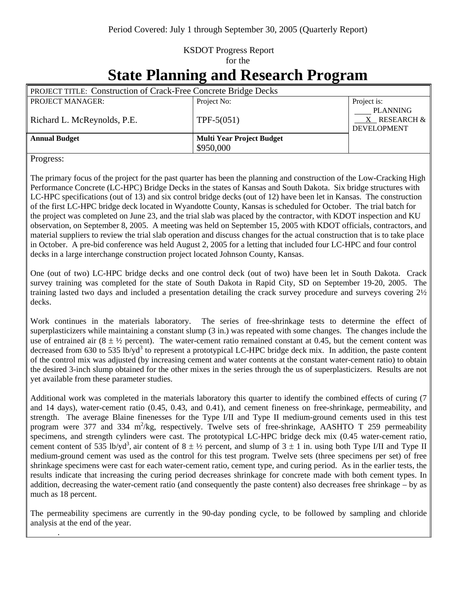## KSDOT Progress Report for the

## **State Planning and Research Program**

| <b>PROJECT TITLE: Construction of Crack-Free Concrete Bridge Decks</b> |                                  |                                                            |
|------------------------------------------------------------------------|----------------------------------|------------------------------------------------------------|
| <b>PROJECT MANAGER:</b>                                                | Project No:                      | Project is:                                                |
| Richard L. McReynolds, P.E.                                            | TPF- $5(051)$                    | <b>PLANNING</b><br>$X$ RESEARCH $\&$<br><b>DEVELOPMENT</b> |
| <b>Annual Budget</b>                                                   | <b>Multi Year Project Budget</b> |                                                            |
|                                                                        | \$950,000                        |                                                            |

Progress:

.

The primary focus of the project for the past quarter has been the planning and construction of the Low-Cracking High Performance Concrete (LC-HPC) Bridge Decks in the states of Kansas and South Dakota. Six bridge structures with LC-HPC specifications (out of 13) and six control bridge decks (out of 12) have been let in Kansas. The construction of the first LC-HPC bridge deck located in Wyandotte County, Kansas is scheduled for October. The trial batch for the project was completed on June 23, and the trial slab was placed by the contractor, with KDOT inspection and KU observation, on September 8, 2005. A meeting was held on September 15, 2005 with KDOT officials, contractors, and material suppliers to review the trial slab operation and discuss changes for the actual construction that is to take place in October. A pre-bid conference was held August 2, 2005 for a letting that included four LC-HPC and four control decks in a large interchange construction project located Johnson County, Kansas.

One (out of two) LC-HPC bridge decks and one control deck (out of two) have been let in South Dakota. Crack survey training was completed for the state of South Dakota in Rapid City, SD on September 19-20, 2005. The training lasted two days and included a presentation detailing the crack survey procedure and surveys covering 2½ decks.

Work continues in the materials laboratory. The series of free-shrinkage tests to determine the effect of superplasticizers while maintaining a constant slump (3 in.) was repeated with some changes. The changes include the use of entrained air  $(8 \pm \frac{1}{2})$  percent). The water-cement ratio remained constant at 0.45, but the cement content was decreased from 630 to 535 lb/yd<sup>3</sup> to represent a prototypical LC-HPC bridge deck mix. In addition, the paste content of the control mix was adjusted (by increasing cement and water contents at the constant water-cement ratio) to obtain the desired 3-inch slump obtained for the other mixes in the series through the us of superplasticizers. Results are not yet available from these parameter studies.

Additional work was completed in the materials laboratory this quarter to identify the combined effects of curing (7 and 14 days), water-cement ratio (0.45, 0.43, and 0.41), and cement fineness on free-shrinkage, permeability, and strength. The average Blaine finenesses for the Type I/II and Type II medium-ground cements used in this test program were 377 and 334 m<sup>2</sup>/kg, respectively. Twelve sets of free-shrinkage, AASHTO T 259 permeability specimens, and strength cylinders were cast. The prototypical LC-HPC bridge deck mix (0.45 water-cement ratio, cement content of 535 lb/yd<sup>3</sup>, air content of  $8 \pm \frac{1}{2}$  percent, and slump of  $3 \pm 1$  in. using both Type I/II and Type II medium-ground cement was used as the control for this test program. Twelve sets (three specimens per set) of free shrinkage specimens were cast for each water-cement ratio, cement type, and curing period. As in the earlier tests, the results indicate that increasing the curing period decreases shrinkage for concrete made with both cement types. In addition, decreasing the water-cement ratio (and consequently the paste content) also decreases free shrinkage – by as much as 18 percent.

The permeability specimens are currently in the 90-day ponding cycle, to be followed by sampling and chloride analysis at the end of the year.